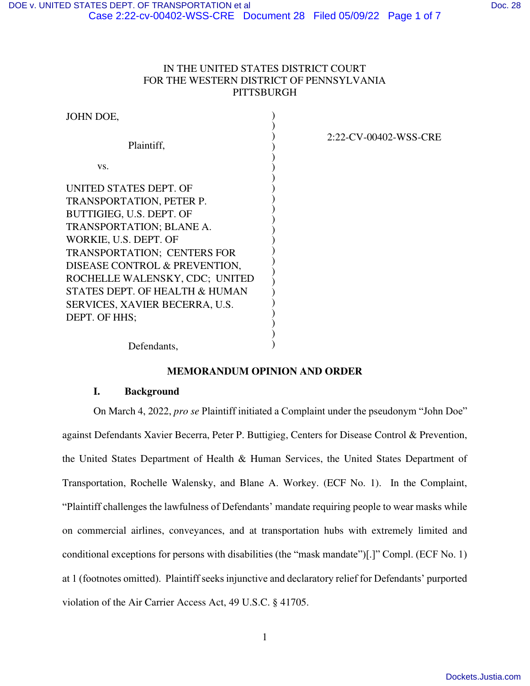## IN THE UNITED STATES DISTRICT COURT FOR THE WESTERN DISTRICT OF PENNSYLVANIA **PITTSBURGH**

| JOHN DOE,                      |  |
|--------------------------------|--|
|                                |  |
| Plaintiff,                     |  |
|                                |  |
| VS.                            |  |
|                                |  |
| UNITED STATES DEPT. OF         |  |
| TRANSPORTATION, PETER P.       |  |
| BUTTIGIEG, U.S. DEPT. OF       |  |
| TRANSPORTATION; BLANE A.       |  |
| WORKIE, U.S. DEPT. OF          |  |
| TRANSPORTATION; CENTERS FOR    |  |
| DISEASE CONTROL & PREVENTION,  |  |
| ROCHELLE WALENSKY, CDC; UNITED |  |
| STATES DEPT. OF HEALTH & HUMAN |  |
| SERVICES, XAVIER BECERRA, U.S. |  |
| DEPT. OF HHS;                  |  |
|                                |  |

2:22-CV-00402-WSS-CRE

Defendants,

## **MEMORANDUM OPINION AND ORDER**

)  $\lambda$ 

### **I. Background**

On March 4, 2022, *pro se* Plaintiff initiated a Complaint under the pseudonym "John Doe" against Defendants Xavier Becerra, Peter P. Buttigieg, Centers for Disease Control & Prevention, the United States Department of Health & Human Services, the United States Department of Transportation, Rochelle Walensky, and Blane A. Workey. (ECF No. 1). In the Complaint, "Plaintiff challenges the lawfulness of Defendants' mandate requiring people to wear masks while on commercial airlines, conveyances, and at transportation hubs with extremely limited and conditional exceptions for persons with disabilities (the "mask mandate")[.]" Compl. (ECF No. 1) at 1 (footnotes omitted). Plaintiff seeks injunctive and declaratory relief for Defendants' purported violation of the Air Carrier Access Act, 49 U.S.C. § 41705.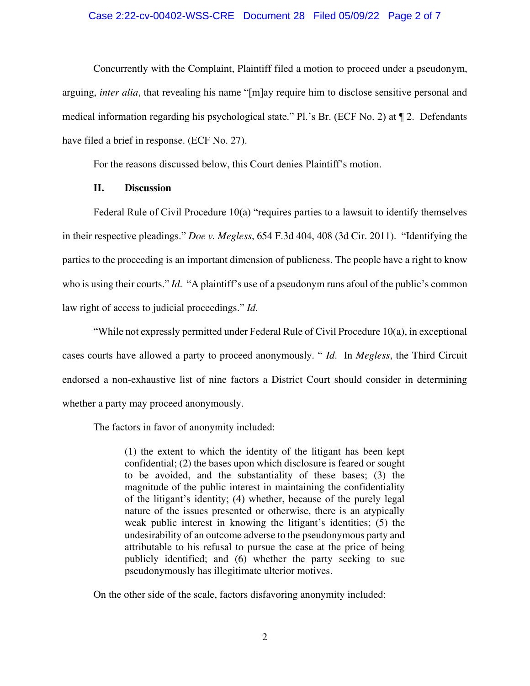#### Case 2:22-cv-00402-WSS-CRE Document 28 Filed 05/09/22 Page 2 of 7

Concurrently with the Complaint, Plaintiff filed a motion to proceed under a pseudonym, arguing, *inter alia*, that revealing his name "[m]ay require him to disclose sensitive personal and medical information regarding his psychological state." Pl.'s Br. (ECF No. 2) at  $\P$  2. Defendants have filed a brief in response. (ECF No. 27).

For the reasons discussed below, this Court denies Plaintiff's motion.

#### **II. Discussion**

Federal Rule of Civil Procedure 10(a) "requires parties to a lawsuit to identify themselves in their respective pleadings." *Doe v. Megless*, 654 F.3d 404, 408 (3d Cir. 2011). "Identifying the parties to the proceeding is an important dimension of publicness. The people have a right to know who is using their courts." *Id*. "A plaintiff's use of a pseudonym runs afoul of the public's common law right of access to judicial proceedings." *Id*.

"While not expressly permitted under Federal Rule of Civil Procedure 10(a), in exceptional cases courts have allowed a party to proceed anonymously. " *Id*. In *Megless*, the Third Circuit endorsed a non-exhaustive list of nine factors a District Court should consider in determining whether a party may proceed anonymously.

The factors in favor of anonymity included:

(1) the extent to which the identity of the litigant has been kept confidential; (2) the bases upon which disclosure is feared or sought to be avoided, and the substantiality of these bases; (3) the magnitude of the public interest in maintaining the confidentiality of the litigant's identity; (4) whether, because of the purely legal nature of the issues presented or otherwise, there is an atypically weak public interest in knowing the litigant's identities; (5) the undesirability of an outcome adverse to the pseudonymous party and attributable to his refusal to pursue the case at the price of being publicly identified; and (6) whether the party seeking to sue pseudonymously has illegitimate ulterior motives.

On the other side of the scale, factors disfavoring anonymity included: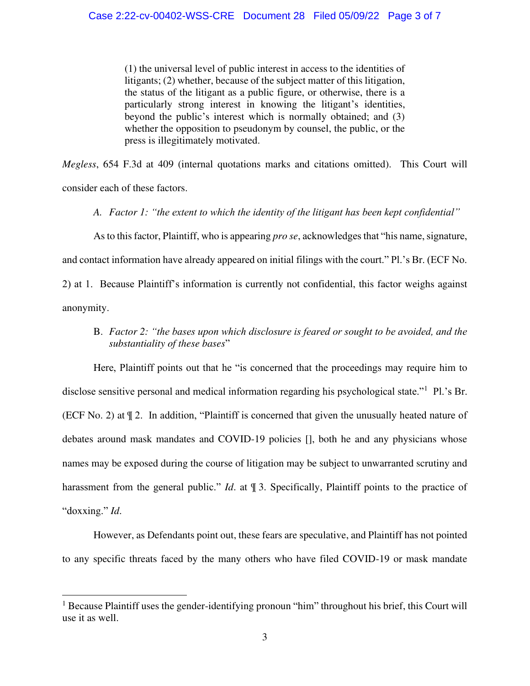(1) the universal level of public interest in access to the identities of litigants; (2) whether, because of the subject matter of this litigation, the status of the litigant as a public figure, or otherwise, there is a particularly strong interest in knowing the litigant's identities, beyond the public's interest which is normally obtained; and (3) whether the opposition to pseudonym by counsel, the public, or the press is illegitimately motivated.

*Megless*, 654 F.3d at 409 (internal quotations marks and citations omitted). This Court will consider each of these factors.

*A. Factor 1: "the extent to which the identity of the litigant has been kept confidential"*

As to this factor, Plaintiff, who is appearing *pro se*, acknowledges that "his name, signature,

and contact information have already appeared on initial filings with the court." Pl.'s Br. (ECF No.

2) at 1. Because Plaintiff's information is currently not confidential, this factor weighs against anonymity.

## B. *Factor 2: "the bases upon which disclosure is feared or sought to be avoided, and the substantiality of these bases*"

Here, Plaintiff points out that he "is concerned that the proceedings may require him to disclose sensitive personal and medical information regarding his psychological state."<sup>1</sup> Pl.'s Br. (ECF No. 2) at ¶ 2. In addition, "Plaintiff is concerned that given the unusually heated nature of debates around mask mandates and COVID-19 policies [], both he and any physicians whose names may be exposed during the course of litigation may be subject to unwarranted scrutiny and harassment from the general public." *Id.* at  $\mathbb{T}$  3. Specifically, Plaintiff points to the practice of "doxxing." *Id*.

However, as Defendants point out, these fears are speculative, and Plaintiff has not pointed to any specific threats faced by the many others who have filed COVID-19 or mask mandate

<sup>&</sup>lt;sup>1</sup> Because Plaintiff uses the gender-identifying pronoun "him" throughout his brief, this Court will use it as well.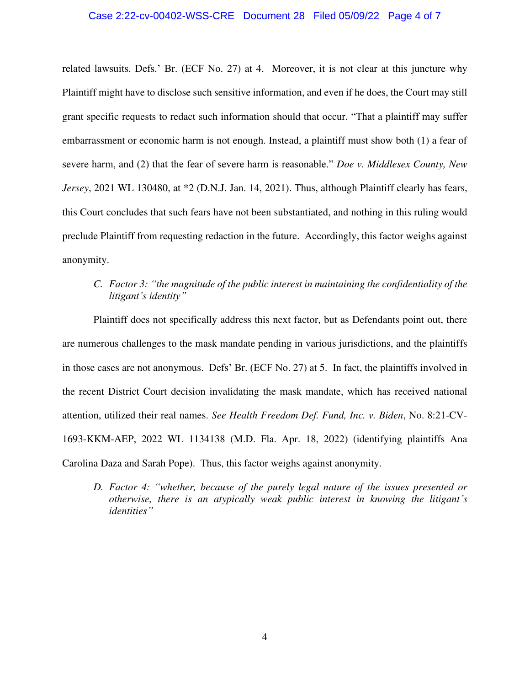#### Case 2:22-cv-00402-WSS-CRE Document 28 Filed 05/09/22 Page 4 of 7

related lawsuits. Defs.' Br. (ECF No. 27) at 4. Moreover, it is not clear at this juncture why Plaintiff might have to disclose such sensitive information, and even if he does, the Court may still grant specific requests to redact such information should that occur. "That a plaintiff may suffer embarrassment or economic harm is not enough. Instead, a plaintiff must show both (1) a fear of severe harm, and (2) that the fear of severe harm is reasonable." *Doe v. Middlesex County, New Jersey*, 2021 WL 130480, at \*2 (D.N.J. Jan. 14, 2021). Thus, although Plaintiff clearly has fears, this Court concludes that such fears have not been substantiated, and nothing in this ruling would preclude Plaintiff from requesting redaction in the future. Accordingly, this factor weighs against anonymity.

# *C. Factor 3: "the magnitude of the public interest in maintaining the confidentiality of the litigant's identity"*

Plaintiff does not specifically address this next factor, but as Defendants point out, there are numerous challenges to the mask mandate pending in various jurisdictions, and the plaintiffs in those cases are not anonymous. Defs' Br. (ECF No. 27) at 5. In fact, the plaintiffs involved in the recent District Court decision invalidating the mask mandate, which has received national attention, utilized their real names. *See Health Freedom Def. Fund, Inc. v. Biden*, No. 8:21-CV-1693-KKM-AEP, 2022 WL 1134138 (M.D. Fla. Apr. 18, 2022) (identifying plaintiffs Ana Carolina Daza and Sarah Pope). Thus, this factor weighs against anonymity.

*D. Factor 4: "whether, because of the purely legal nature of the issues presented or otherwise, there is an atypically weak public interest in knowing the litigant's identities"*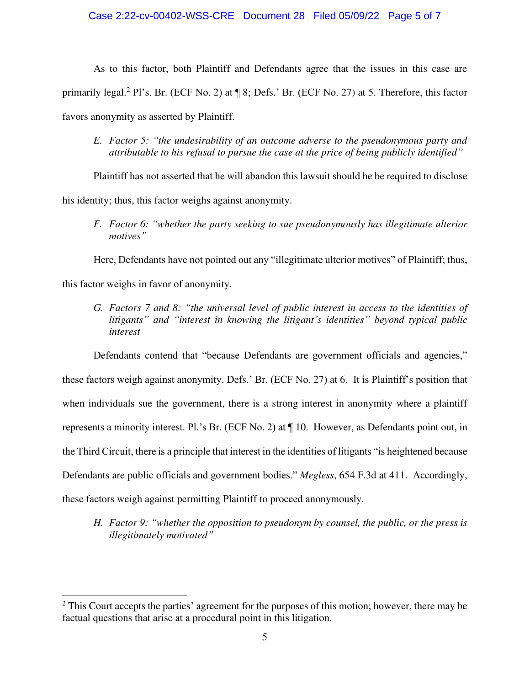As to this factor, both Plaintiff and Defendants agree that the issues in this case are primarily legal.<sup>2</sup> Pl's. Br. (ECF No. 2) at ¶ 8; Defs.' Br. (ECF No. 27) at 5. Therefore, this factor favors anonymity as asserted by Plaintiff.

*E. Factor 5: "the undesirability of an outcome adverse to the pseudonymous party and attributable to his refusal to pursue the case at the price of being publicly identified"*

Plaintiff has not asserted that he will abandon this lawsuit should he be required to disclose his identity; thus, this factor weighs against anonymity.

*F. Factor 6: "whether the party seeking to sue pseudonymously has illegitimate ulterior motives"*

Here, Defendants have not pointed out any "illegitimate ulterior motives" of Plaintiff; thus,

this factor weighs in favor of anonymity.

*G. Factors 7 and 8: "the universal level of public interest in access to the identities of litigants" and "interest in knowing the litigant's identities" beyond typical public interest* 

Defendants contend that "because Defendants are government officials and agencies," these factors weigh against anonymity. Defs.' Br. (ECF No. 27) at 6. It is Plaintiff's position that when individuals sue the government, there is a strong interest in anonymity where a plaintiff represents a minority interest. Pl.'s Br. (ECF No. 2) at ¶ 10. However, as Defendants point out, in the Third Circuit, there is a principle that interest in the identities of litigants "is heightened because Defendants are public officials and government bodies." *Megless*, 654 F.3d at 411. Accordingly, these factors weigh against permitting Plaintiff to proceed anonymously.

*H. Factor 9: "whether the opposition to pseudonym by counsel, the public, or the press is illegitimately motivated"*

 $2$  This Court accepts the parties' agreement for the purposes of this motion; however, there may be factual questions that arise at a procedural point in this litigation.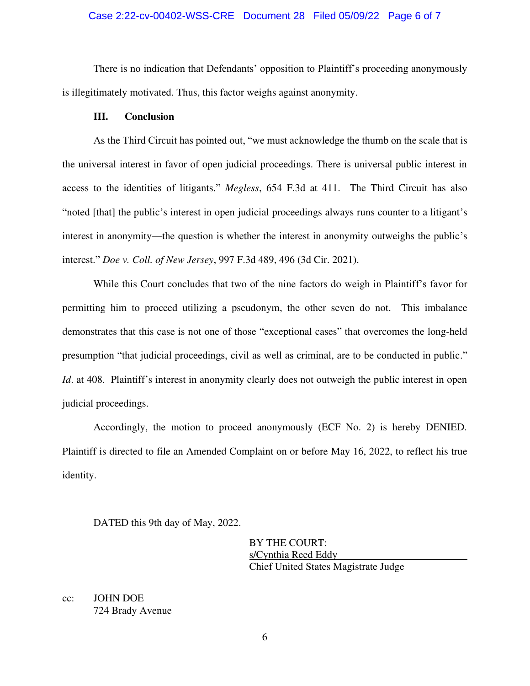### Case 2:22-cv-00402-WSS-CRE Document 28 Filed 05/09/22 Page 6 of 7

There is no indication that Defendants' opposition to Plaintiff's proceeding anonymously is illegitimately motivated. Thus, this factor weighs against anonymity.

#### **III. Conclusion**

As the Third Circuit has pointed out, "we must acknowledge the thumb on the scale that is the universal interest in favor of open judicial proceedings. There is universal public interest in access to the identities of litigants." *Megless*, 654 F.3d at 411. The Third Circuit has also "noted [that] the public's interest in open judicial proceedings always runs counter to a litigant's interest in anonymity—the question is whether the interest in anonymity outweighs the public's interest." *Doe v. Coll. of New Jersey*, 997 F.3d 489, 496 (3d Cir. 2021).

While this Court concludes that two of the nine factors do weigh in Plaintiff's favor for permitting him to proceed utilizing a pseudonym, the other seven do not. This imbalance demonstrates that this case is not one of those "exceptional cases" that overcomes the long-held presumption "that judicial proceedings, civil as well as criminal, are to be conducted in public." *Id.* at 408. Plaintiff's interest in anonymity clearly does not outweigh the public interest in open judicial proceedings.

Accordingly, the motion to proceed anonymously (ECF No. 2) is hereby DENIED. Plaintiff is directed to file an Amended Complaint on or before May 16, 2022, to reflect his true identity.

DATED this 9th day of May, 2022.

BY THE COURT: s/Cynthia Reed Eddy Chief United States Magistrate Judge

cc: JOHN DOE 724 Brady Avenue